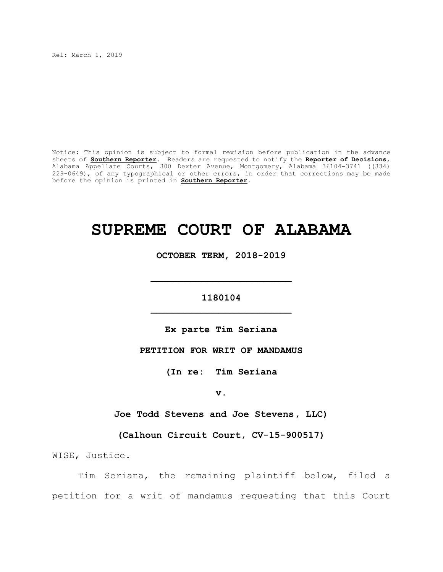Rel: March 1, 2019

Notice: This opinion is subject to formal revision before publication in the advance sheets of **Southern Reporter**. Readers are requested to notify the **Reporter of Decisions**, Alabama Appellate Courts, 300 Dexter Avenue, Montgomery, Alabama 36104-3741 ((334) 229-0649), of any typographical or other errors, in order that corrections may be made before the opinion is printed in **Southern Reporter**.

# **SUPREME COURT OF ALABAMA**

**OCTOBER TERM, 2018-2019**

# **1180104 \_\_\_\_\_\_\_\_\_\_\_\_\_\_\_\_\_\_\_\_\_\_\_\_\_**

**\_\_\_\_\_\_\_\_\_\_\_\_\_\_\_\_\_\_\_\_\_\_\_\_\_**

**Ex parte Tim Seriana**

**PETITION FOR WRIT OF MANDAMUS**

**(In re: Tim Seriana**

**v.**

**Joe Todd Stevens and Joe Stevens, LLC)**

**(Calhoun Circuit Court, CV-15-900517)**

WISE, Justice.

Tim Seriana, the remaining plaintiff below, filed a petition for a writ of mandamus requesting that this Court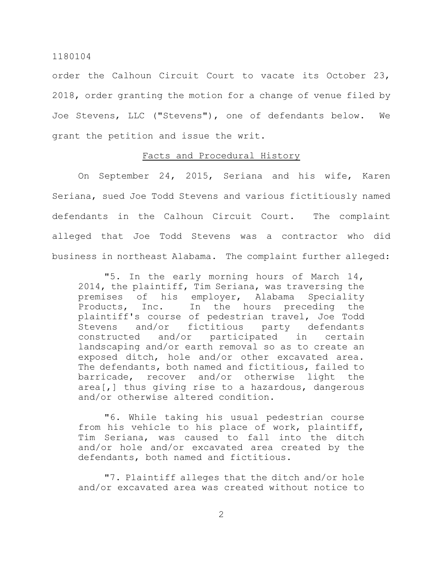order the Calhoun Circuit Court to vacate its October 23, 2018, order granting the motion for a change of venue filed by Joe Stevens, LLC ("Stevens"), one of defendants below. We grant the petition and issue the writ.

# Facts and Procedural History

On September 24, 2015, Seriana and his wife, Karen Seriana, sued Joe Todd Stevens and various fictitiously named defendants in the Calhoun Circuit Court. The complaint alleged that Joe Todd Stevens was a contractor who did business in northeast Alabama. The complaint further alleged:

"5. In the early morning hours of March 14, 2014, the plaintiff, Tim Seriana, was traversing the premises of his employer, Alabama Speciality Products, Inc. In the hours preceding the plaintiff's course of pedestrian travel, Joe Todd Stevens and/or fictitious party defendants constructed and/or participated in certain landscaping and/or earth removal so as to create an exposed ditch, hole and/or other excavated area. The defendants, both named and fictitious, failed to barricade, recover and/or otherwise light the area[,] thus giving rise to a hazardous, dangerous and/or otherwise altered condition.

"6. While taking his usual pedestrian course from his vehicle to his place of work, plaintiff, Tim Seriana, was caused to fall into the ditch and/or hole and/or excavated area created by the defendants, both named and fictitious.

"7. Plaintiff alleges that the ditch and/or hole and/or excavated area was created without notice to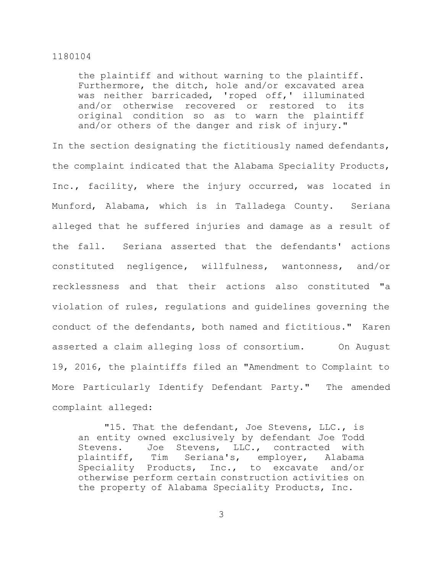the plaintiff and without warning to the plaintiff. Furthermore, the ditch, hole and/or excavated area was neither barricaded, 'roped off,' illuminated and/or otherwise recovered or restored to its original condition so as to warn the plaintiff and/or others of the danger and risk of injury."

In the section designating the fictitiously named defendants, the complaint indicated that the Alabama Speciality Products, Inc., facility, where the injury occurred, was located in Munford, Alabama, which is in Talladega County. Seriana alleged that he suffered injuries and damage as a result of the fall. Seriana asserted that the defendants' actions constituted negligence, willfulness, wantonness, and/or recklessness and that their actions also constituted "a violation of rules, regulations and guidelines governing the conduct of the defendants, both named and fictitious." Karen asserted a claim alleging loss of consortium. On August 19, 2016, the plaintiffs filed an "Amendment to Complaint to More Particularly Identify Defendant Party." The amended complaint alleged:

"15. That the defendant, Joe Stevens, LLC., is an entity owned exclusively by defendant Joe Todd Stevens. Joe Stevens, LLC., contracted with plaintiff, Tim Seriana's, employer, Alabama Speciality Products, Inc., to excavate and/or otherwise perform certain construction activities on the property of Alabama Speciality Products, Inc.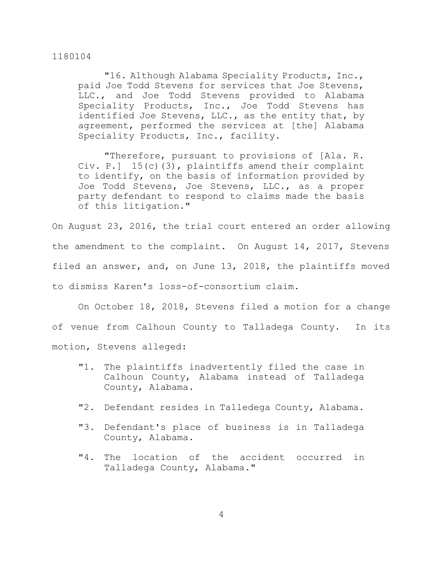"16. Although Alabama Speciality Products, Inc., paid Joe Todd Stevens for services that Joe Stevens, LLC., and Joe Todd Stevens provided to Alabama Speciality Products, Inc., Joe Todd Stevens has identified Joe Stevens, LLC., as the entity that, by agreement, performed the services at [the] Alabama Speciality Products, Inc., facility.

"Therefore, pursuant to provisions of [Ala. R. Civ. P.] 15(c)(3), plaintiffs amend their complaint to identify, on the basis of information provided by Joe Todd Stevens, Joe Stevens, LLC., as a proper party defendant to respond to claims made the basis of this litigation."

On August 23, 2016, the trial court entered an order allowing the amendment to the complaint. On August 14, 2017, Stevens filed an answer, and, on June 13, 2018, the plaintiffs moved to dismiss Karen's loss-of-consortium claim.

On October 18, 2018, Stevens filed a motion for a change of venue from Calhoun County to Talladega County. In its motion, Stevens alleged:

- "1. The plaintiffs inadvertently filed the case in Calhoun County, Alabama instead of Talladega County, Alabama.
- "2. Defendant resides in Talledega County, Alabama.
- "3. Defendant's place of business is in Talladega County, Alabama.
- "4. The location of the accident occurred in Talladega County, Alabama."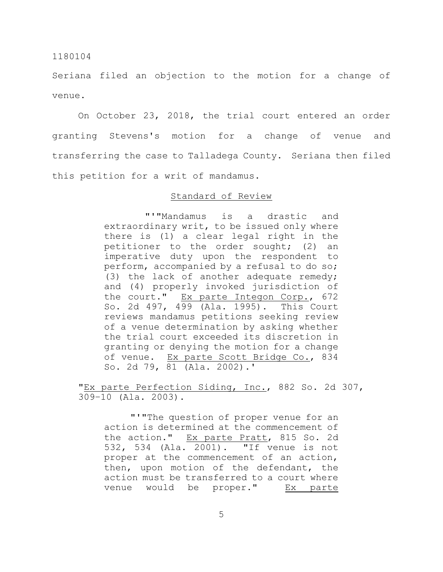Seriana filed an objection to the motion for a change of venue.

On October 23, 2018, the trial court entered an order granting Stevens's motion for a change of venue and transferring the case to Talladega County. Seriana then filed this petition for a writ of mandamus.

# Standard of Review

"'"Mandamus is a drastic and extraordinary writ, to be issued only where there is (1) a clear legal right in the petitioner to the order sought; (2) an imperative duty upon the respondent to perform, accompanied by a refusal to do so; (3) the lack of another adequate remedy; and (4) properly invoked jurisdiction of the court." Ex parte Integon Corp., 672 So. 2d 497, 499 (Ala. 1995). This Court reviews mandamus petitions seeking review of a venue determination by asking whether the trial court exceeded its discretion in granting or denying the motion for a change of venue. Ex parte Scott Bridge Co., 834 So. 2d 79, 81 (Ala. 2002).'

"Ex parte Perfection Siding, Inc., 882 So. 2d 307, 309–10 (Ala. 2003).

"'"The question of proper venue for an action is determined at the commencement of the action." Ex parte Pratt, 815 So. 2d 532, 534 (Ala. 2001). "If venue is not proper at the commencement of an action, then, upon motion of the defendant, the action must be transferred to a court where venue would be proper." Ex parte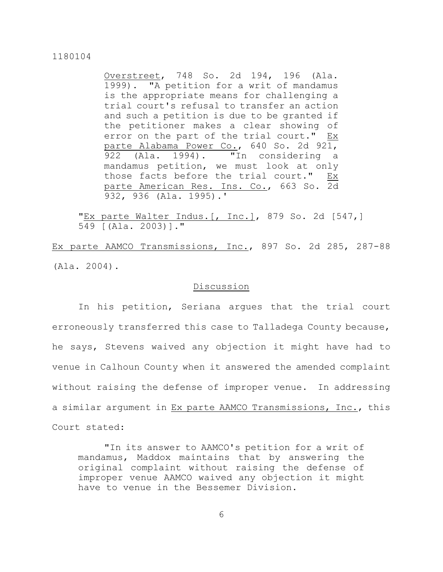Overstreet, 748 So. 2d 194, 196 (Ala. 1999). "A petition for a writ of mandamus is the appropriate means for challenging a trial court's refusal to transfer an action and such a petition is due to be granted if the petitioner makes a clear showing of error on the part of the trial court." Ex parte Alabama Power Co., 640 So. 2d 921, 922 (Ala. 1994). "In considering a mandamus petition, we must look at only those facts before the trial court." Ex parte American Res. Ins. Co., 663 So. 2d 932, 936 (Ala. 1995).'

"Ex parte Walter Indus. [, Inc.], 879 So. 2d [547,] 549 [(Ala. 2003)]."

Ex parte AAMCO Transmissions, Inc., 897 So. 2d 285, 287-88 (Ala. 2004).

# Discussion

In his petition, Seriana argues that the trial court erroneously transferred this case to Talladega County because, he says, Stevens waived any objection it might have had to venue in Calhoun County when it answered the amended complaint without raising the defense of improper venue. In addressing a similar argument in Ex parte AAMCO Transmissions, Inc., this Court stated:

"In its answer to AAMCO's petition for a writ of mandamus, Maddox maintains that by answering the original complaint without raising the defense of improper venue AAMCO waived any objection it might have to venue in the Bessemer Division.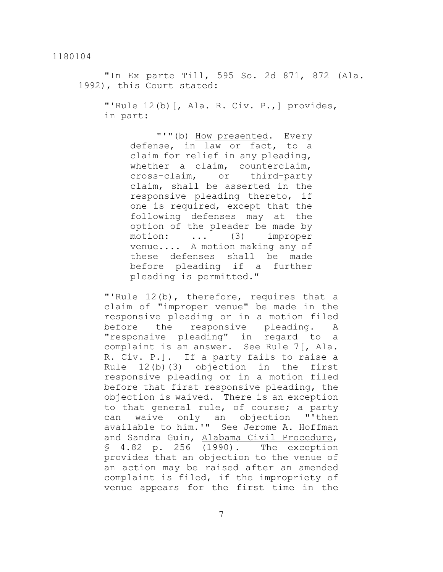"In Ex parte Till, 595 So. 2d 871, 872 (Ala. 1992), this Court stated:

"'Rule 12(b)[, Ala. R. Civ. P.,] provides, in part:

> "'"(b) How presented. Every defense, in law or fact, to a claim for relief in any pleading, whether a claim, counterclaim, cross-claim, or third-party claim, shall be asserted in the responsive pleading thereto, if one is required, except that the following defenses may at the option of the pleader be made by motion: ... (3) improper venue.... A motion making any of these defenses shall be made before pleading if a further pleading is permitted."

"'Rule 12(b), therefore, requires that a claim of "improper venue" be made in the responsive pleading or in a motion filed before the responsive pleading. A "responsive pleading" in regard to a complaint is an answer. See Rule 7[, Ala. R. Civ. P.]. If a party fails to raise a Rule 12(b)(3) objection in the first responsive pleading or in a motion filed before that first responsive pleading, the objection is waived. There is an exception to that general rule, of course; a party can waive only an objection "'then available to him.'" See Jerome A. Hoffman and Sandra Guin, Alabama Civil Procedure, § 4.82 p. 256 (1990). The exception provides that an objection to the venue of an action may be raised after an amended complaint is filed, if the impropriety of venue appears for the first time in the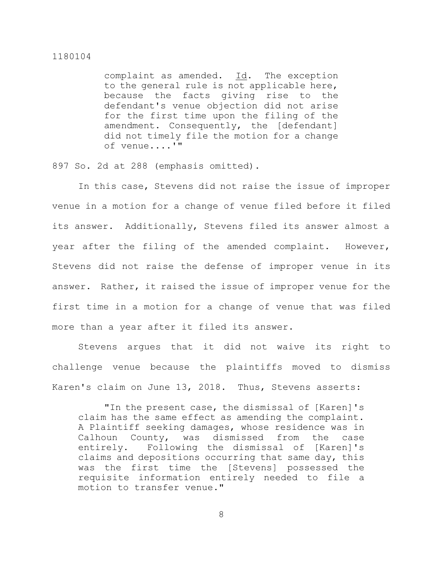complaint as amended. Id. The exception to the general rule is not applicable here, because the facts giving rise to the defendant's venue objection did not arise for the first time upon the filing of the amendment. Consequently, the [defendant] did not timely file the motion for a change of venue....'"

897 So. 2d at 288 (emphasis omitted).

In this case, Stevens did not raise the issue of improper venue in a motion for a change of venue filed before it filed its answer. Additionally, Stevens filed its answer almost a year after the filing of the amended complaint. However, Stevens did not raise the defense of improper venue in its answer. Rather, it raised the issue of improper venue for the first time in a motion for a change of venue that was filed more than a year after it filed its answer.

Stevens argues that it did not waive its right to challenge venue because the plaintiffs moved to dismiss Karen's claim on June 13, 2018. Thus, Stevens asserts:

"In the present case, the dismissal of [Karen]'s claim has the same effect as amending the complaint. A Plaintiff seeking damages, whose residence was in Calhoun County, was dismissed from the case entirely. Following the dismissal of [Karen]'s claims and depositions occurring that same day, this was the first time the [Stevens] possessed the requisite information entirely needed to file a motion to transfer venue."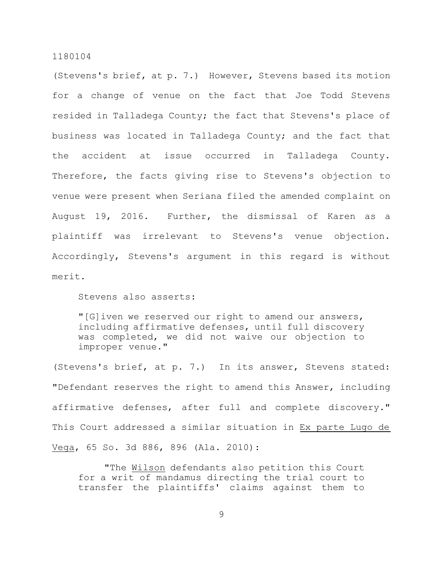(Stevens's brief, at p. 7.) However, Stevens based its motion for a change of venue on the fact that Joe Todd Stevens resided in Talladega County; the fact that Stevens's place of business was located in Talladega County; and the fact that the accident at issue occurred in Talladega County. Therefore, the facts giving rise to Stevens's objection to venue were present when Seriana filed the amended complaint on August 19, 2016. Further, the dismissal of Karen as a plaintiff was irrelevant to Stevens's venue objection. Accordingly, Stevens's argument in this regard is without merit.

Stevens also asserts:

"[G]iven we reserved our right to amend our answers, including affirmative defenses, until full discovery was completed, we did not waive our objection to improper venue."

(Stevens's brief, at p. 7.) In its answer, Stevens stated: "Defendant reserves the right to amend this Answer, including affirmative defenses, after full and complete discovery." This Court addressed a similar situation in Ex parte Lugo de Vega, 65 So. 3d 886, 896 (Ala. 2010):

"The Wilson defendants also petition this Court for a writ of mandamus directing the trial court to transfer the plaintiffs' claims against them to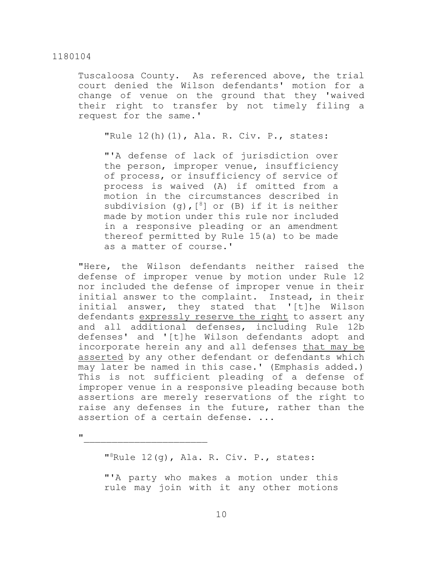Tuscaloosa County. As referenced above, the trial court denied the Wilson defendants' motion for a change of venue on the ground that they 'waived their right to transfer by not timely filing a request for the same.'

"Rule 12(h)(1), Ala. R. Civ. P., states:

"'A defense of lack of jurisdiction over the person, improper venue, insufficiency of process, or insufficiency of service of process is waived (A) if omitted from a motion in the circumstances described in subdivision (g),  $[8]$  or (B) if it is neither made by motion under this rule nor included in a responsive pleading or an amendment thereof permitted by Rule 15(a) to be made as a matter of course.'

"Here, the Wilson defendants neither raised the defense of improper venue by motion under Rule 12 nor included the defense of improper venue in their initial answer to the complaint. Instead, in their initial answer, they stated that '[t]he Wilson defendants expressly reserve the right to assert any and all additional defenses, including Rule 12b defenses' and '[t]he Wilson defendants adopt and incorporate herein any and all defenses that may be asserted by any other defendant or defendants which may later be named in this case.' (Emphasis added.) This is not sufficient pleading of a defense of improper venue in a responsive pleading because both assertions are merely reservations of the right to raise any defenses in the future, rather than the assertion of a certain defense. ...

 $\mathbf{u}$  and  $\mathbf{v}$  and  $\mathbf{v}$  and  $\mathbf{v}$  and  $\mathbf{v}$ 

" <sup>8</sup>Rule 12(g), Ala. R. Civ. P., states:

"'A party who makes a motion under this rule may join with it any other motions